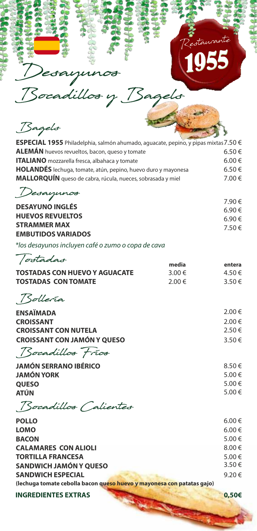

Bocadill y Bagels

Desayunos

Bagels

| ESPECIAL 1955 Philadelphia, salmón ahumado, aguacate, pepino, y pipas mixtas 7.50 € |            |
|-------------------------------------------------------------------------------------|------------|
| <b>ALEMÁN</b> huevos revueltos, bacon, queso y tomate                               | $6.50 \in$ |
| <b>ITALIANO</b> mozzarella fresca, albahaca y tomate                                | 6.00 €     |
| HOLANDÉS lechuga, tomate, atún, pepino, huevo duro y mayonesa                       | $6.50 \in$ |
| MALLORQUÍN queso de cabra, rúcula, nueces, sobrasada y miel                         | 7.00 €     |
|                                                                                     |            |

Desayun

|                           | 7.90€  |
|---------------------------|--------|
| <b>DESAYUNO INGLÉS</b>    | 6.90€  |
| <b>HUEVOS REVUELTOS</b>   | 6.90 € |
| <b>STRAMMER MAX</b>       | 7.50€  |
| <b>EMBUTIDOS VARIADOS</b> |        |

\*los desayunos incluyen café o zumo o copa de cava

| <i>ostadas</i>                       | media      | entera     |
|--------------------------------------|------------|------------|
| <b>TOSTADAS CON HUEVO Y AGUACATE</b> | 3.00 €     | 4.50€      |
| <b>TOSTADAS CON TOMATE</b>           | 2.00 $\in$ | $3.50 \in$ |

Bollería

| <b>ENSAÏMADA</b>                   | 2.00 €     |
|------------------------------------|------------|
| <b>CROISSANT</b>                   | 2.00 €     |
| <b>CROISSANT CON NUTELA</b>        | 2.50 €     |
| <b>CROISSANT CON JAMÓN Y QUESO</b> | $3.50 \in$ |
| Bocadillos Frios                   |            |

| <b>JAMÓN SERRANO IBÉRICO</b> | 8.50€  |
|------------------------------|--------|
| <b>JAMÓN YORK</b>            | 5.00 € |
| <b>QUESO</b>                 | 5.00 € |
| <b>ATÚN</b>                  | 5.00 € |
|                              |        |

Bocadillos Calientes

| $6.00 \in$ |
|------------|
| 6.00€      |
| 5.00€      |
| 8.00€      |
| 5.00€      |
| 3.50€      |
| 9.20€      |
|            |
|            |

**INGREDIENTES EXTRAS 0,50€**